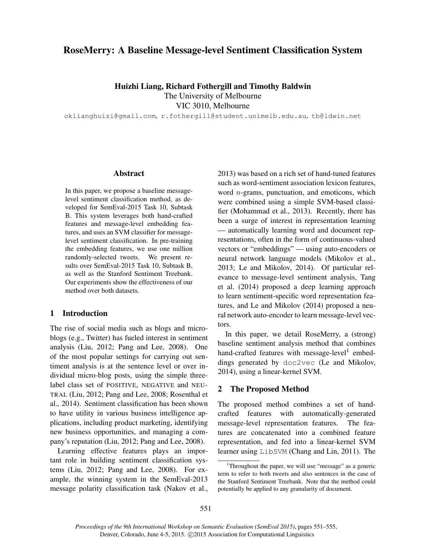# RoseMerry: A Baseline Message-level Sentiment Classification System

Huizhi Liang, Richard Fothergill and Timothy Baldwin The University of Melbourne

VIC 3010, Melbourne

oklianghuizi@gmail.com, r.fothergill@student.unimelb.edu.au, tb@ldwin.net

### Abstract

In this paper, we propose a baseline messagelevel sentiment classification method, as developed for SemEval-2015 Task 10, Subtask B. This system leverages both hand-crafted features and message-level embedding features, and uses an SVM classifier for messagelevel sentiment classification. In pre-training the embedding features, we use one million randomly-selected tweets. We present results over SemEval-2015 Task 10, Subtask B, as well as the Stanford Sentiment Treebank. Our experiments show the effectiveness of our method over both datasets.

## 1 Introduction

The rise of social media such as blogs and microblogs (e.g., Twitter) has fueled interest in sentiment analysis (Liu, 2012; Pang and Lee, 2008). One of the most popular settings for carrying out sentiment analysis is at the sentence level or over individual micro-blog posts, using the simple threelabel class set of POSITIVE, NEGATIVE and NEU-TRAL (Liu, 2012; Pang and Lee, 2008; Rosenthal et al., 2014). Sentiment classification has been shown to have utility in various business intelligence applications, including product marketing, identifying new business opportunities, and managing a company's reputation (Liu, 2012; Pang and Lee, 2008).

Learning effective features plays an important role in building sentiment classification systems (Liu, 2012; Pang and Lee, 2008). For example, the winning system in the SemEval-2013 message polarity classification task (Nakov et al., 2013) was based on a rich set of hand-tuned features such as word-sentiment association lexicon features, word *n*-grams, punctuation, and emoticons, which were combined using a simple SVM-based classifier (Mohammad et al., 2013). Recently, there has been a surge of interest in representation learning — automatically learning word and document representations, often in the form of continuous-valued vectors or "embeddings" — using auto-encoders or neural network language models (Mikolov et al., 2013; Le and Mikolov, 2014). Of particular relevance to message-level sentiment analysis, Tang et al. (2014) proposed a deep learning approach to learn sentiment-specific word representation features, and Le and Mikolov (2014) proposed a neural network auto-encoder to learn message-level vectors.

In this paper, we detail RoseMerry, a (strong) baseline sentiment analysis method that combines hand-crafted features with message-level<sup>1</sup> embeddings generated by doc2vec (Le and Mikolov, 2014), using a linear-kernel SVM.

### 2 The Proposed Method

The proposed method combines a set of handcrafted features with automatically-generated message-level representation features. The features are concatenated into a combined feature representation, and fed into a linear-kernel SVM learner using LibSVM (Chang and Lin, 2011). The

<sup>&</sup>lt;sup>1</sup>Throughout the paper, we will use "message" as a generic term to refer to both tweets and also sentences in the case of the Stanford Sentiment Treebank. Note that the method could potentially be applied to any granularity of document.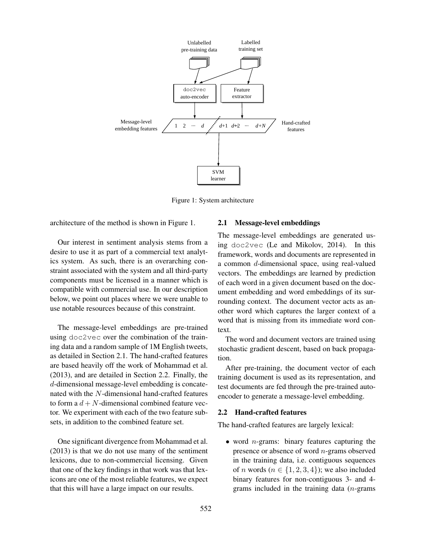

Figure 1: System architecture

architecture of the method is shown in Figure 1.

Our interest in sentiment analysis stems from a desire to use it as part of a commercial text analytics system. As such, there is an overarching constraint associated with the system and all third-party components must be licensed in a manner which is compatible with commercial use. In our description below, we point out places where we were unable to use notable resources because of this constraint.

The message-level embeddings are pre-trained using doc2vec over the combination of the training data and a random sample of 1M English tweets, as detailed in Section 2.1. The hand-crafted features are based heavily off the work of Mohammad et al. (2013), and are detailed in Section 2.2. Finally, the d-dimensional message-level embedding is concatenated with the N-dimensional hand-crafted features to form a  $d + N$ -dimensional combined feature vector. We experiment with each of the two feature subsets, in addition to the combined feature set.

One significant divergence from Mohammad et al. (2013) is that we do not use many of the sentiment lexicons, due to non-commercial licensing. Given that one of the key findings in that work was that lexicons are one of the most reliable features, we expect that this will have a large impact on our results.

#### 2.1 Message-level embeddings

The message-level embeddings are generated using doc2vec (Le and Mikolov, 2014). In this framework, words and documents are represented in a common d-dimensional space, using real-valued vectors. The embeddings are learned by prediction of each word in a given document based on the document embedding and word embeddings of its surrounding context. The document vector acts as another word which captures the larger context of a word that is missing from its immediate word context.

The word and document vectors are trained using stochastic gradient descent, based on back propagation.

After pre-training, the document vector of each training document is used as its representation, and test documents are fed through the pre-trained autoencoder to generate a message-level embedding.

## 2.2 Hand-crafted features

The hand-crafted features are largely lexical:

• word *n*-grams: binary features capturing the presence or absence of word n-grams observed in the training data, i.e. contiguous sequences of *n* words ( $n \in \{1, 2, 3, 4\}$ ); we also included binary features for non-contiguous 3- and 4 grams included in the training data (n-grams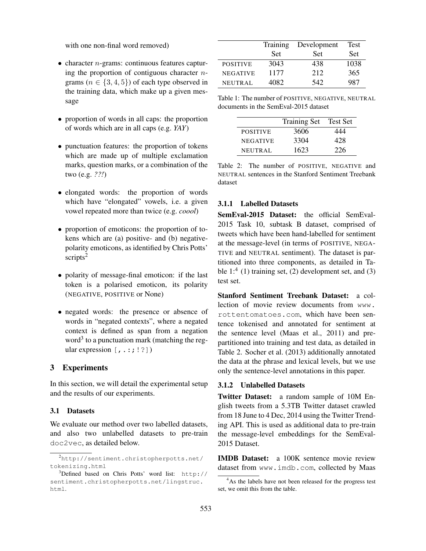with one non-final word removed)

- $\bullet$  character *n*-grams: continuous features capturing the proportion of contiguous character  $n$ grams ( $n \in \{3, 4, 5\}$ ) of each type observed in the training data, which make up a given message
- proportion of words in all caps: the proportion of words which are in all caps (e.g. *YAY*)
- punctuation features: the proportion of tokens which are made up of multiple exclamation marks, question marks, or a combination of the two (e.g. *??!*)
- elongated words: the proportion of words which have "elongated" vowels, i.e. a given vowel repeated more than twice (e.g. *coool*)
- proportion of emoticons: the proportion of tokens which are (a) positive- and (b) negativepolarity emoticons, as identified by Chris Potts' scripts<sup>2</sup>
- polarity of message-final emoticon: if the last token is a polarised emoticon, its polarity (NEGATIVE, POSITIVE or None)
- negated words: the presence or absence of words in "negated contexts", where a negated context is defined as span from a negation word<sup>3</sup> to a punctuation mark (matching the regular expression  $[,$ :::!?])

# 3 Experiments

In this section, we will detail the experimental setup and the results of our experiments.

## 3.1 Datasets

We evaluate our method over two labelled datasets, and also two unlabelled datasets to pre-train doc2vec, as detailed below.

|                 | Training   | Development | Test |
|-----------------|------------|-------------|------|
|                 | <b>Set</b> | <b>Set</b>  | Set. |
| <b>POSITIVE</b> | 3043       | 438         | 1038 |
| <b>NEGATIVE</b> | 1177       | 2.12        | 365  |
| <b>NEUTRAL</b>  | 4082.      | 542.        | 987  |

Table 1: The number of POSITIVE, NEGATIVE, NEUTRAL documents in the SemEval-2015 dataset

|                 | <b>Training Set</b> | <b>Test Set</b> |
|-----------------|---------------------|-----------------|
| <b>POSITIVE</b> | 3606                | 444             |
| <b>NEGATIVE</b> | 3304                | 428             |
| <b>NEUTRAL</b>  | 1623                | 226             |

Table 2: The number of POSITIVE, NEGATIVE and NEUTRAL sentences in the Stanford Sentiment Treebank dataset

## 3.1.1 Labelled Datasets

SemEval-2015 Dataset: the official SemEval-2015 Task 10, subtask B dataset, comprised of tweets which have been hand-labelled for sentiment at the message-level (in terms of POSITIVE, NEGA-TIVE and NEUTRAL sentiment). The dataset is partitioned into three components, as detailed in Table  $1$ :<sup>4</sup> (1) training set, (2) development set, and (3) test set.

Stanford Sentiment Treebank Dataset: a collection of movie review documents from www. rottentomatoes.com, which have been sentence tokenised and annotated for sentiment at the sentence level (Maas et al., 2011) and prepartitioned into training and test data, as detailed in Table 2. Socher et al. (2013) additionally annotated the data at the phrase and lexical levels, but we use only the sentence-level annotations in this paper.

#### 3.1.2 Unlabelled Datasets

Twitter Dataset: a random sample of 10M English tweets from a 5.3TB Twitter dataset crawled from 18 June to 4 Dec, 2014 using the Twitter Trending API. This is used as additional data to pre-train the message-level embeddings for the SemEval-2015 Dataset.

IMDB Dataset: a 100K sentence movie review dataset from www.imdb.com, collected by Maas

<sup>2</sup>http://sentiment.christopherpotts.net/ tokenizing.html

 $3$ Defined based on Chris Potts' word list: http:// sentiment.christopherpotts.net/lingstruc. html.

<sup>&</sup>lt;sup>4</sup>As the labels have not been released for the progress test set, we omit this from the table.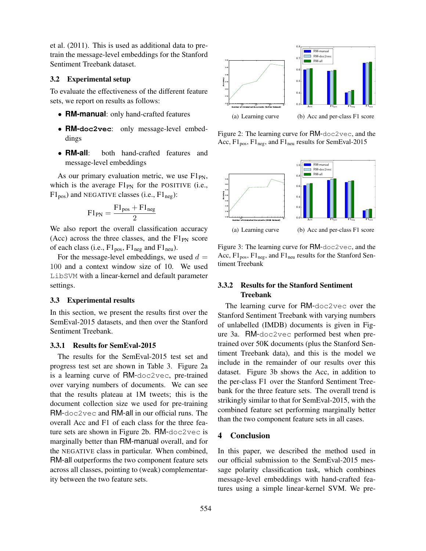et al. (2011). This is used as additional data to pretrain the message-level embeddings for the Stanford Sentiment Treebank dataset.

## 3.2 Experimental setup

To evaluate the effectiveness of the different feature sets, we report on results as follows:

- **RM-manual**: only hand-crafted features
- **RM-doc2vec**: only message-level embeddings
- **RM-all**: both hand-crafted features and message-level embeddings

As our primary evaluation metric, we use  $F1_{PN}$ , which is the average  $F1_{PN}$  for the POSITIVE (i.e.,  $F1_{pos}$ ) and NEGATIVE classes (i.e.,  $F1_{neg}$ ):

$$
\text{F1}_{\text{PN}}=\frac{\text{F1}_{\text{pos}}+\text{F1}_{\text{neg}}}{2}
$$

We also report the overall classification accuracy (Acc) across the three classes, and the  $FI_{PN}$  score of each class (i.e.,  $F1_{pos}$ ,  $F1_{neg}$  and  $F1_{neu}$ ).

For the message-level embeddings, we used  $d =$ 100 and a context window size of 10. We used LibSVM with a linear-kernel and default parameter settings.

#### 3.3 Experimental results

In this section, we present the results first over the SemEval-2015 datasets, and then over the Stanford Sentiment Treebank.

### 3.3.1 Results for SemEval-2015

The results for the SemEval-2015 test set and progress test set are shown in Table 3. Figure 2a is a learning curve of RM-doc2vec, pre-trained over varying numbers of documents. We can see that the results plateau at 1M tweets; this is the document collection size we used for pre-training RM-doc2vec and RM-all in our official runs. The overall Acc and F1 of each class for the three feature sets are shown in Figure 2b. RM-doc2vec is marginally better than RM-manual overall, and for the NEGATIVE class in particular. When combined, RM-all outperforms the two component feature sets across all classes, pointing to (weak) complementarity between the two feature sets.



Figure 2: The learning curve for RM-doc2vec, and the Acc,  $F1_{pos}$ ,  $F1_{neg}$ , and  $F1_{neu}$  results for SemEval-2015



Figure 3: The learning curve for RM-doc2vec, and the Acc,  $F1_{pos}$ ,  $F1_{neg}$ , and  $F1_{neu}$  results for the Stanford Sentiment Treebank

## 3.3.2 Results for the Stanford Sentiment Treebank

The learning curve for RM-doc2vec over the Stanford Sentiment Treebank with varying numbers of unlabelled (IMDB) documents is given in Figure 3a. RM-doc2vec performed best when pretrained over 50K documents (plus the Stanford Sentiment Treebank data), and this is the model we include in the remainder of our results over this dataset. Figure 3b shows the Acc, in addition to the per-class F1 over the Stanford Sentiment Treebank for the three feature sets. The overall trend is strikingly similar to that for SemEval-2015, with the combined feature set performing marginally better than the two component feature sets in all cases.

## 4 Conclusion

In this paper, we described the method used in our official submission to the SemEval-2015 message polarity classification task, which combines message-level embeddings with hand-crafted features using a simple linear-kernel SVM. We pre-